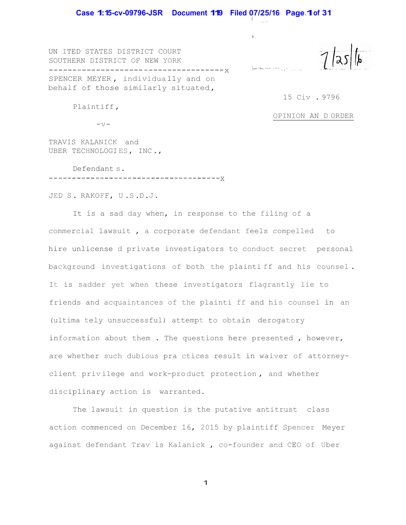*t* . ,., ...

\-----<sup>---</sup>--<sup>-</sup>--<sup>-</sup>

i .

UN ITED STATES DISTRICT COURT SOUTHERN DISTRICT OF NEW YORK -------------------- ----------------- x SPENCER MEYER , individua lly and on behalf of those similarly situated ,

15 Civ . 9796

Plaintiff ,

OPINION AN D ORDER

 $-\nabla$ -

TRAVIS KALANICK and UBER TECHNOLOGI ES , INC .,

Defendant s. -------------------------------------x

JED S . RAKOFF, U .S .D .J .

It is a sad day when, in response to the filing of a commercial lawsuit , a corporate defendant feels compelled to hire unlicense d private investigators to conduct secret personal background investigations of both the plainti ff and his counsel . It is sadder yet when these investigators flagrantly lie to friends and acquaintances of the plainti ff and his counsel in an (ultima tely unsuccessful) attempt to obtain derogatory information about them . The questions here presented , however, are whether such dubious pra ctices result in waiver of attorneyclient priv ilege and work-pro duct protection , and whether disciplinary action is warranted.

The lawsuit in question is the putative antitrust class action commenced on December 16, 2015 by plaintiff Spencer Meyer against defendant Trav is Kalanick , co-founder and CEO of Uber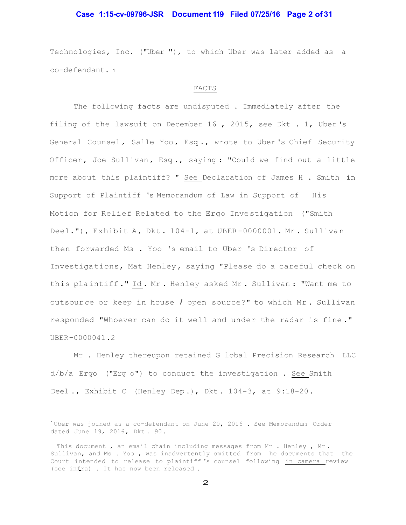# **Case 1:15-cv-09796-JSR Document 119 Filed 07/25/16 Page 2 of 31**

Technologies, Inc. ("Uber "), to which Uber was later added as a co-defendant. <sup>1</sup>

#### FACTS

The following facts are undisputed . Immediately after the filing of the lawsuit on December 16 , 2015, see Dkt . 1, Uber 's General Counsel, Salle Yoo, Esq., wrote to Uber's Chief Security Officer, Joe Sullivan, Esq., saying: "Could we find out a little more about this plaintiff? " See Declaration of James H . Smith in Support of Plaintiff 's Memorandum of Law in Support of His Motion for Relief Related to the Ergo Inve stigation ("Smith Deel."), Exhibit A, Dkt.  $104-1$ , at UBER-0000001. Mr. Sullivan then forwarded Ms . Yoo 's email to Uber 's Director of Investiga tions, Mat Henley , saying "Please do a careful check on this pla intiff ." Id . Mr . Henley asked Mr . Sullivan : "Want me to outsour ce or keep in house *I* open source?" to which Mr . Sullivan responded "Whoever can do it well and under the radar is fine ." UBER -0000041 .2

Mr . Henley thereupon retained G lobal Precision Research LLC d/b/a Ergo ("Erg o") to conduct the investigation . See Smith Deel ., Exhibit C (Henley Dep .), Dkt . 104-3, at 9:18-20 .

<sup>1</sup>Uber was joined as a co-defendant on June 20, 2016 . See Memorandum Order dated June 19, 2016, Dkt. 90.

This document, an email chain including messages from Mr. Henley, Mr. Sullivan, and Ms . Yoo , was inadvertently omitted from he documents that the Court intended to release to plaintiff 's counsel following in camera review (see infra) . It has now been released .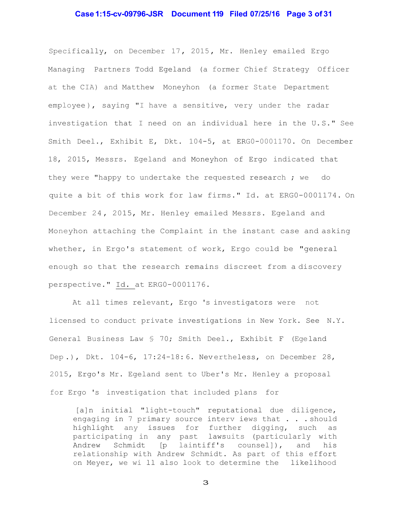# **Case 1:15-cv-09796-JSR Document 119 Filed 07/25/16 Page 3 of 31**

Specifically, on December 17, 2015, Mr. Henley emailed Ergo Managing Partners Todd Egeland (a former Chief Strategy Officer at the CIA) and Matthew Moneyhon (a former State Department employee), saying "I have a sensitive, very under the radar investigation that I need on an individual here in the U. S." See Smith Deel., Exhibit E, Dkt. 104-5, at ERG0-0001170. On December 18, 2015, Messrs. Egeland and Moneyhon of Ergo indicated that they were "happy to undertake the requested research ; we do quite a bit of this work for law firms." Id. at ERG0-0001174. On December 24 , 2015, Mr. Henley emailed Messrs. Egeland and Moneyhon attaching the Complaint in the instant case and asking whether, in Ergo's statement of work, Ergo could be "general enough so that the research remains discreet from a discovery perspective." Id. at ERG0-0001176.

At all times relevant, Ergo 's investigators were not licensed to conduct private investigations in New York. See N.Y. General Business Law § 70; Smith Deel., Exhibit F (Egeland Dep.), Dkt. 104-6, 17:24-18:6. Nevertheless, on December 28, 2015, Ergo's Mr. Egeland sent to Uber's Mr. Henley a proposal for Ergo 's investigation that included plans for

[a]n initial "light-touch" reputational due diligence, engaging in 7 primary source interv iews that . . . should highlight any issues for further digging, such as participating in any past lawsuits (particularly with Andrew Schmidt [p laintiff's counsel]), and his relationship with Andrew Schmidt. As part of this effort on Meyer, we wi ll also look to determine the likelihood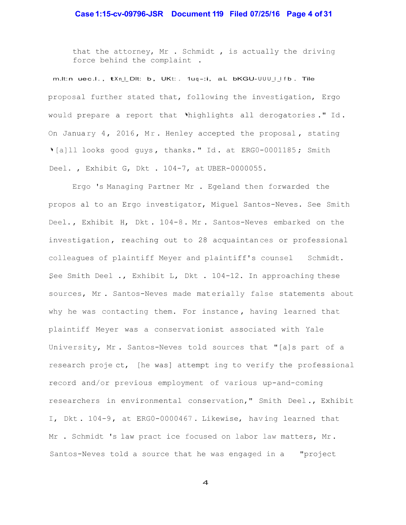# **Case 1:15-cv-09796-JSR Document 119 Filed 07/25/16 Page 4 of 31**

that the attorney, Mr . Schmidt , is actually the driving force behind the complaint .

 $m.lt:n$  uec.l.,  $tXn_l$  Dlt: b, UKt::  $1uq-i$ , al bKGU- $UUU \cup l$  fb. Tile proposal further stated that, following the investigation, Ergo would prepare a report that 'highlights all derogatories." Id. On January 4, 2016, Mr. Henley accepted the proposal, stating '[a]ll looks good guys, thanks." Id. at ERG0-0001185; Smith Deel. , Exhibit G, Dkt . 104-7, at UBER-0000055.

Ergo 's Managing Partner Mr . Egeland then forwarded the propos al to an Ergo investigator, Miguel Santos-Neves. See Smith Deel., Exhibit H, Dkt. 104-8. Mr. Santos-Neves embarked on the investigation, reaching out to 28 acquaintances or professional colleagues of plaintiff Meyer and plaintiff's counsel Schmidt. See Smith Deel ., Exhibit L, Dkt . 104-12. In approaching these sources, Mr. Santos-Neves made materially false statements about why he was contacting them. For instance , having learned that plaintiff Meyer was a conservat ionist associated with Yale University, Mr . Santos-Neves told sources that "[a]s part of a research proje ct, [he was] attempt ing to verify the professional record and/or previous employment of various up-and-coming researchers in environmental conservation," Smith Deel ., Exhibit I, Dkt . 104-9 , at ERG0-0000467 . Likewise, hav ing learned that Mr . Schmidt 's law pract ice focused on labor law matters, Mr . Santos-Neves told a source that he was engaged in a "project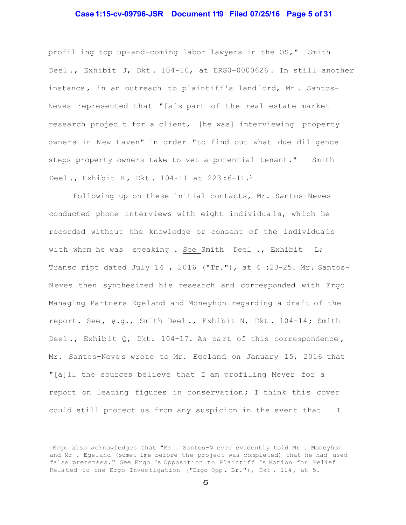# **Case 1:15-cv-09796-JSR Document 119 Filed 07/25/16 Page 5 of 31**

profil ing top up-and-coming labor lawyers in the OS," Smith Deel ., Exhibit J, Dkt . 104-10, at ERG0-0000626 . In still another instance, in an outreach to plaintiff's land lord, Mr. Santos-Neves represented that "[a ]s part of the real estate market research projec t for a client, [he was] interviewing property owners in New Haven" in order "to find out what due diligence steps property owners take to vet a potential tenant." Smith Deel., Exhibit K, Dkt. 104-11 at  $223:6-11.^3$ 

Following up on these initial contacts, Mr. Santos-Neves conducted phone interviews with eight individua ls, wh ich he recorded without the knowledge or consent of the individua ls with whom he was speaking . See Smith Deel ., Exhibit L; Transc ript dated July 14, 2016 ("Tr."), at  $4:23-25$ . Mr. Santos-N eves then synthesized his research and corresponded with Ergo Managing Partners Egeland and Moneyhon regarding a draft of the report. See, e.g., Smith Deel., Exhibit N, Dkt. 104-14; Smith Deel., Exhibit Q, Dkt. 104-17. As part of this correspondence, Mr. Santos-Neves wrote to Mr. Egeland on January 15, 2016 that "[a]ll the sources believe that I am profiling Meyer for a report on leading figures in conservation; I think this cover could still protect us from any suspicion in the event that I

<sup>3</sup>Ergo also acknowledges that "Mr . Santos-N eves evidently told Mr . Moneyhon and Mr . Egeland (somet ime before the project was completed) that he had used false pretenses." See Ergo 's Opposition to Plaintiff 's Motion for Relief Related to the Ergo Investigation ("Ergo Opp. Br."), Dkt. 114, at 5.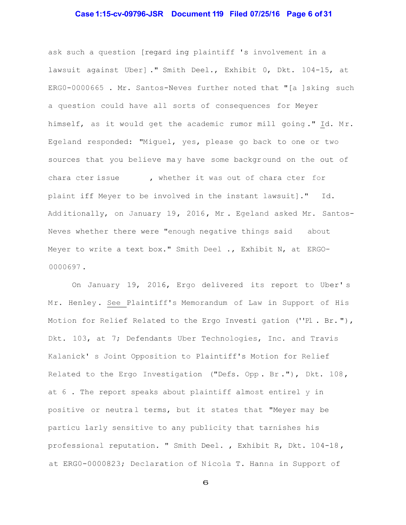# **Case 1:15-cv-09796-JSR Document 119 Filed 07/25/16 Page 6 of 31**

ask such a question [regard ing plaintiff 's involvement in a lawsuit against Uber] ." Smith Deel., Exhibit 0, Dkt. 104-15, at ERG0-0000665 . Mr. Santos-Neves further noted that "[a ]sking such a question could have all sorts of consequences for Meyer himself, as it would get the academic rumor mill going." Id. Mr. Egeland responded: "Miguel, yes, please go back to one or two sources that you believe may have some background on the out of chara cter issue , whether it was out of chara cter for plaint iff Meyer to be involved in the instant lawsuit]." Id. Add itionally, on January 19, 2016, Mr. Egeland asked Mr. Santos-Neves whether there were "enough negative things said about Meyer to write a text box." Smith Deel ., Exhibit N, at ERGO-0000697 .

On January 19, 2016, Ergo delivered its report to Uber' s Mr. Henley. See Plaintiff's Memorandum of Law in Support of His Motion for Relief Related to the Ergo Investi gation (''Pl . Br. "), Dkt. 103, at 7; Defendants Uber Technologies, Inc. and Travis Kalanick' s Joint Opposition to Plaintiff's Motion for Relief Related to the Ergo Investigation ("Defs. Opp. Br."), Dkt. 108, at 6 . The report speaks about plaintiff almost entirel y in positive or neutral terms, but it states that "Meyer may be particu larly sensitive to any publicity that tarnishes his professional reputation. " Smith Deel. , Exhibit R, Dkt. 104-18 , at ERG0-0000823; Declaration of Nicola T. Hanna in Support of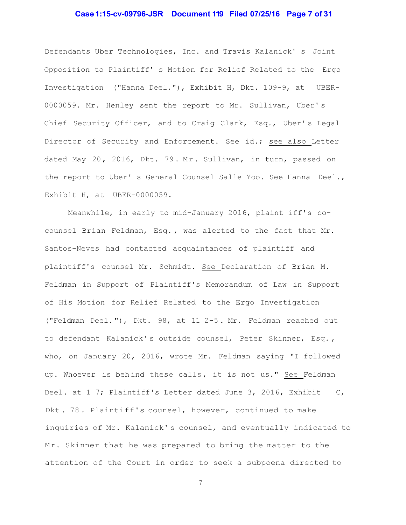# **Case 1:15-cv-09796-JSR Document 119 Filed 07/25/16 Page 7 of 31**

Defendants Uber Technologies, Inc. and Travis Kalanick' s Joint Opposition to Plaintiff' s Motion for Relief Related to the Ergo Investigation ("Hanna Deel."), Exhibit H, Dkt. 109-9, at UBER-0000059. Mr. Henley sent the report to Mr. Sullivan, Uber' s Chief Security Officer, and to Craig Clark, Esq., Uber's Legal Director of Security and Enforcement. See id.; see also Letter dated May 20, 2016, Dkt. 79. Mr. Sullivan, in turn, passed on the report to Uber' s General Counsel Salle Yoo. See Hanna Deel., Exhibit H, at UBER-0000059.

Meanwhile, in early to mid-January 2016, plaint iff's cocounsel Brian Feldman, Esq. , was alerted to the fact that Mr. Santos-Neves had contacted acquaintances of plaintiff and plaintiff's counsel Mr. Schmidt. See Declaration of Brian M. Feldman in Support of Plaintiff's Memorandum of Law in Support of His Motion for Relief Related to the Ergo Investigation ("Feldman Deel. "), Dkt. 98, at 11 2-5 . Mr. Feldman reached out to defendant Kalanick' s outside counsel, Peter Skinner, Esq. , who, on January 20, 2016, wrote Mr. Feldman saying "I followed up. Whoever is behind these calls, it is not us." See Feldman Deel. at 1 7; Plaintiff's Letter dated June 3, 2016, Exhibit C, Dkt . 78 . Plainti ff's counsel, however, continued to make inquiries of Mr. Kalanick' s counsel, and eventually indicated to Mr. Skinner that he was prepared to bring the matter to the attention of the Court in order to seek a subpoena directed to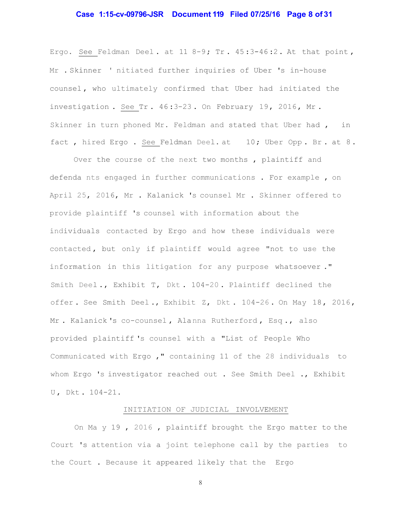### **Case 1:15-cv-09796-JSR Document 119 Filed 07/25/16 Page 8 of 31**

Ergo. See Feldman Deel. at 11 8-9; Tr.  $45:3-46:2$ . At that point, Mr . Skinner ' nitiated further inquiries of Uber 's in-house counsel , who ultimately confirmed that Uber had initiated the investigation. See Tr.  $46:3-23$ . On February 19, 2016, Mr. Skinner in turn phoned Mr. Feldman and stated that Uber had , in fact, hired Ergo. See Feldman Deel. at 10; Uber Opp. Br. at 8.

Over the course of the next two months , plaintiff and defenda nts engaged in further communications . For example , on April 25, 2016, Mr . Kalanick 's counsel Mr . Skinner offered to provide plaintiff 's counsel with information about the individuals contacted by Ergo and how these individuals were contacted , but only if plaintiff would agree "not to use the information in this litigation for any purpose whatsoever ." Smith Deel ., Exhibit T, Dkt . 104-20 . Plaintiff declined the offer. See Smith Deel., Exhibit Z, Dkt. 104-26. On May 18, 2016, Mr. Kalanick's co-counsel, Alanna Rutherford, Esq., also provided plaintiff 's counsel with a "List of People Who Communicated with Ergo ," containing 11 of the 28 individuals to whom Ergo 's investigator reached out . See Smith Deel ., Exhibit U , Dkt . 104-21.

#### INITIATION OF JUDICIAL INVOLVEMENT

On Ma y 19 , 2016 , plaintiff brought the Ergo matter to the Court 's attention via a joint telephone call by the parties to the Court . Because it appeared likely that the Ergo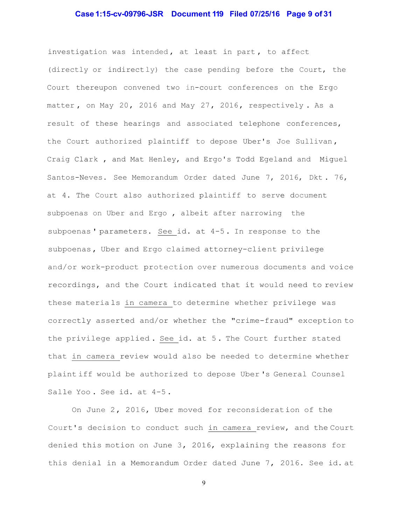# **Case 1:15-cv-09796-JSR Document 119 Filed 07/25/16 Page 9 of 31**

investigation was intended , at least in part , to affect (directly or indirect ly) the case pending before the Court, the Court thereupon convened two in-court conferences on the Ergo matter, on May 20, 2016 and May 27, 2016, respectively. As a result of these hearings and associated telephone conferences, the Court authorized plaintiff to depose Uber's Joe Sullivan , Craig Clark , and Mat Henley, and Ergo's Todd Egeland and Miguel Santos-Neves. See Memorandum Order dated June 7, 2016, Dkt . 76, at 4. The Court also authorized plaintiff to serve document subpoenas on Uber and Ergo , albeit after narrowing the subpoenas' parameters. See id. at  $4-5$ . In response to the subpoenas, Uber and Ergo claimed attorney-client privilege and/or work-product protection over numerous documents and voice recordings, and the Court indicated that it would need to review these materia ls in camera to determine whether privilege was correctly asserted and/or whether the "crime-fraud" exception to the privilege applied . See id. at 5 . The Court further stated that in camera review would also be needed to determine whether plaint iff would be authorized to depose Uber 's General Counsel Salle Yoo . See id. at 4-5 .

On June  $2$ , 2016, Uber moved for reconsideration of the Court's decision to conduct such in camera review, and the Court denied this motion on June 3, 2016, explaining the reasons for this denial in a Memorandum Order dated June 7, 2016. See id. at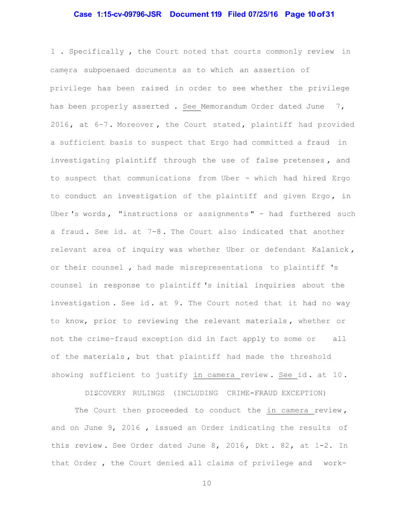#### **Case 1:15-cv-09796-JSR Document 119 Filed 07/25/16 Page 10 of 31**

1 . Specifically , the Court noted that courts commonly review in camera subpoenaed documents as to which an assertion of privilege has been raised in order to see whether the privilege has been properly asserted . See Memorandum Order dated June 7, 2016, at 6-7. Moreover, the Court stated, plaintiff had provided a sufficient basis to suspect that Ergo had committed a fraud in investigating plaintiff through the use of false pretenses , and to suspect that communications from Uber - which had hired Ergo to conduct an investigation of the plaintiff and given Ergo, in Uber 's words , "instructions or assignments " - had furthered such a fraud . See id. at 7-8 . The Court also indicated that another relevant area of inquiry was whether Uber or defendant Kalanick , or their counsel , had made misrepresentations to plaintiff 's counsel in response to plaintiff 's initial inquiries about the investigation. See id. at 9. The Court noted that it had no way to know, prior to reviewing the relevant materials , whether or not the crime-fraud exception did in fact apply to some or all of the materials , but that plaintiff had made the threshold showing sufficient to justify in camera review. See id. at 10.

DISCOVERY RULINGS (INCLUDING CRIME-FRAUD EXCEPTION)

The Court then proceeded to conduct the in camera review, and on June 9, 2016 , issued an Order indicating the results of this review. See Order dated June  $8$ , 2016, Dkt.  $82$ , at 1-2. In that Order , the Court denied all claims of privilege and work-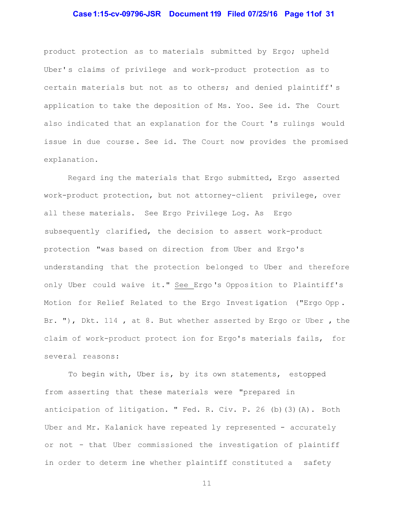# **Case 1:15-cv-09796-JSR Document 119 Filed 07/25/16 Page 11of 31**

product protection as to materials submitted by Ergo; upheld Uber' s claims of privilege and work-product protection as to certain materials but not as to others; and denied plaintiff' s application to take the deposition of Ms. Yoo. See id. The Court also indicated that an explanation for the Court 's rulings would issue in due course . See id. The Court now provides the promised explanation.

Regard ing the materials that Ergo submitted, Ergo asserted work-product protection, but not attorney-client privilege, over all these materials. See Ergo Privilege Log. As Ergo subsequently clarified, the decision to assert work-product protection "was based on direction from Uber and Ergo's understanding that the protection belonged to Uber and therefore only Uber could waive it." See Ergo 's Oppos ition to Plaintiff's Motion for Relief Related to the Ergo Invest igation ("Ergo Opp . Br. "), Dkt. 114, at 8. But whether asserted by Ergo or Uber, the claim of work-product protect ion for Ergo's materials fails, for several reasons:

To begin with, Uber is, by its own statements, estopped from asserting that these materials were "prepared in anticipation of litigation. " Fed. R. Civ. P. 26 (b)(3)(A). Both Uber and Mr. Kalanick have repeated ly represented - accurately or not - that Uber commissioned the investigation of plaintiff in order to determ ine whether plaintiff constituted a safety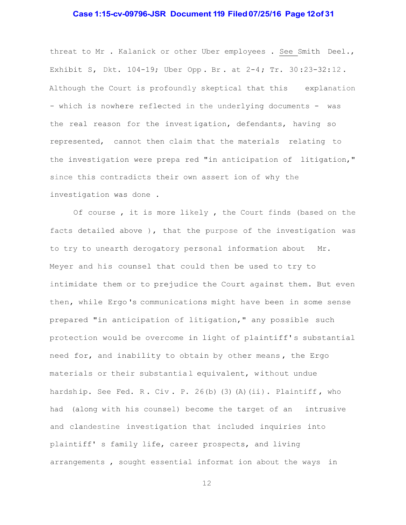# **Case 1:15-cv-09796-JSR Document 119 Filed 07/25/16 Page 12 of 31**

threat to Mr . Kalanick or other Uber employees . See Smith Deel., Exhibit S, Dkt. 104-19; Uber Opp . Br . at 2-4 ; Tr. 30 :23-32: 12 . Although the Court is profoundly skeptical that this explanation - which is nowhere reflected in the underlying documents - was the real reason for the invest igation, defendants, having so represented, cannot then claim that the materials relating to the investigation were prepa red "in anticipation of litigation," since this contradicts their own assert ion of why the investigation was done .

Of course , it is more likely , the Court finds (based on the facts detailed above ), that the purpose of the investigation was to try to unearth derogatory personal information about Mr. Meyer and his counsel that could then be used to try to intimidate them or to prejudice the Court against them. But even then, while Ergo 's communications might have been in some sense prepared "in anticipation of litigation," any possible such protection would be overcome in light of plaintiff' s substantial need for, and inability to obtain by other means , the Ergo materials or their substantial equivalent, without undue hardship. See Fed. R. Civ. P. 26(b) (3) (A)(ii). Plaintiff, who had (along with his counsel) become the target of an intrusive and clandestine investigation that included inquiries into plaintiff' s family life, career prospects, and living arrangements , sought essential informat ion about the ways in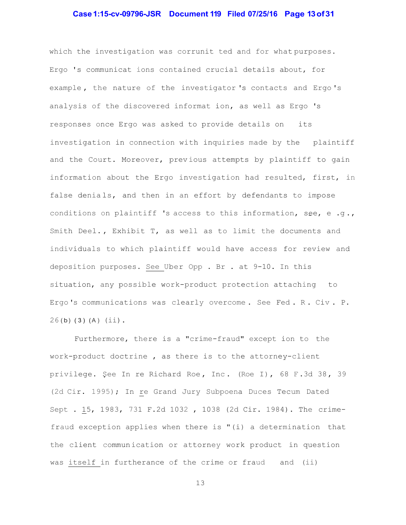### **Case 1:15-cv-09796-JSR Document 119 Filed 07/25/16 Page 13 of 31**

which the investigation was corrunit ted and for what purposes. Ergo 's communicat ions contained crucial details about, for example , the nature of the investigator 's contacts and Ergo 's analysis of the discovered informat ion, as well as Ergo 's responses once Ergo was asked to provide details on its investigation in connection with inquiries made by the plaintiff and the Court. Moreover, previous attempts by plaintiff to gain information about the Ergo investigation had resulted, first, in false denials, and then in an effort by defendants to impose conditions on plaintiff 's access to this information, see, e.g., Smith Deel., Exhibit T, as well as to limit the documents and individuals to which plaintiff would have access for review and deposition purposes. See Uber Opp . Br . at 9-10. In this situation, any possible work-product protection attaching to Ergo 's communications was clearly overcome . See Fed . R . Civ . P.  $26(b)$  (3) (A) (ii).

Furthermore, there is a "crime-fraud" except ion to the work-product doctrine , as there is to the attorney-client privilege. See In re Richard Roe, Inc. (Roe I), 68 F.3d 38, 39 (2d Cir. 1995); In re Grand Jury Subpoena Duces Tecum Dated Sept . 15, 1983, 731 F.2d 1032 , 1038 (2d Cir. 1984). The crimefraud exception applies when there is "(i) a determination that the client commun ication or attorney work product in question was itself in furtherance of the crime or fraud and (ii)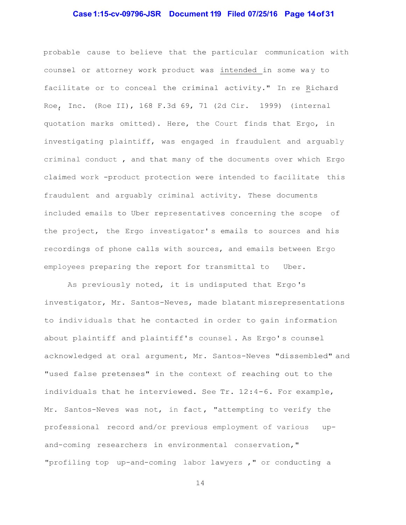# **Case 1:15-cv-09796-JSR Document 119 Filed 07/25/16 Page 14 of 31**

probable cause to believe that the particular communication with counsel or attorney work product was intended in some way to facilitate or to conceal the criminal activity." In re Richard Roe, Inc. (Roe II), 168 F.3d 69, 71 (2d Cir. 1999) (internal quotation marks omitted). Here, the Court finds that Ergo, in investigating plaintiff, was engaged in fraudulent and arguably criminal conduct , and that many of the documents over which Ergo claimed work -product protection were intended to facilitate this fraudulent and arguably criminal activity. These documents included emails to Uber representatives concerning the scope of the project, the Ergo investigator' s emails to sources and his recordings of phone calls with sources, and emails between Ergo employees preparing the report for transmittal to Uber.

As previously noted, it is undisputed that Ergo 's investigator, Mr. Santos-Neves, made blatant misrepresentations to indiv iduals that he contacted in order to gain information about plaintiff and plaintiff's counsel . As Ergo' s counsel acknowledged at oral argument, Mr. Santos-Neves "dissembled" and "used false pretenses" in the context of reaching out to the individuals that he interviewed. See Tr. 12:4-6. For example, Mr. Santos-Neves was not, in fact, "attempting to verify the professional record and/or previous employment of various upand-coming researchers in environmental conservation," "profiling top up-and-coming labor lawyers ," or conducting a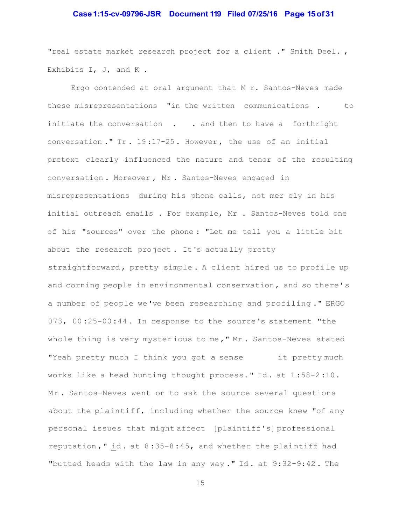### **Case 1:15-cv-09796-JSR Document 119 Filed 07/25/16 Page 15 of 31**

"real estate market research project for a client ." Smith Deel. , Exhibits I, J, and K.

Ergo contended at oral argument that M r. Santos-Neves made these misrepresentations "in the written communications . to initiate the conversation . . and then to have a forthright conversation ." Tr . 19 :17-25 . However , the use of an initial pretext clearly influenced the nature and tenor of the resulting conversation . Moreover , Mr . Santos-Neves engaged in misrepresentations during his phone calls, not mer ely in his initial outreach emails . For example, Mr . Santos-Neves told one of his "sources" over the phone : "Let me tell you a little bit about the research pro ject . It 's actua lly pretty straightforward, pretty simple. A client hired us to profile up and corning people in environmental conservation, and so there's a number of people we 've been researching and profiling ." ERGO 073, 00 :25-00 :44 . In response to the source 's statement "the whole thing is very myster ious to me ," Mr . Santos-Neves stated "Yeah pretty much I think you got a sense it pretty much works like a head hunting thought process. " Id . at 1 :58-2 :10 . Mr. Santos-Neves went on to ask the source several questions about the plaintiff, including whether the source knew "of any personal issues that might affect [plaintiff 's] professional reputation," id. at  $8:35-8:45$ , and whether the plaintiff had "butted heads with the law in any way." Id. at  $9:32-9:42$ . The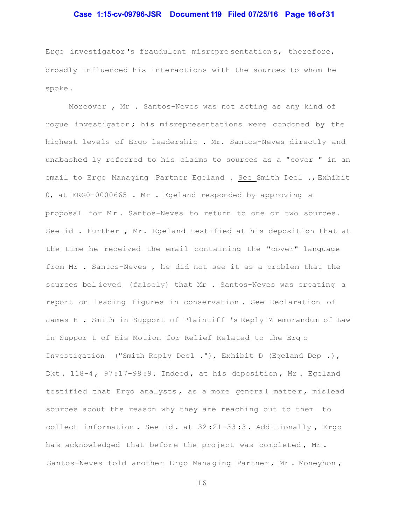# **Case 1:15-cv-09796-JSR Document 119 Filed 07/25/16 Page 16 of 31**

Ergo investigator 's fraudulent misrepre sentation s, therefore, broadly influenced his interactions with the sources to whom he spoke .

Moreover , Mr . Santos-Neves was not acting as any kind of rogue investigator ; his misrepresentations were condoned by the highest levels of Ergo leadership . Mr. Santos-Neves directly and unabashed ly referred to his claims to sources as a "cover " in an email to Ergo Managing Partner Egeland . See Smith Deel ., Exhibit 0, at ERG0-0000665 . Mr . Egeland responded by approving a proposal for Mr. Santos-Neves to return to one or two sources. See id . Further , Mr. Egeland testified at his deposition that at the time he received the email containing the "cover" language from Mr . Santos-Neves , he did not see it as a problem that the sources bel ieved (falsely) that Mr . Santos-Neves was creating a report on leading figures in conservation . See Declaration of James H . Smith in Support of Plaintiff 's Reply M emorandum of Law in Suppor t of His Motion for Relief Related to the Erg o Investigation ("Smith Reply Deel ."), Exhibit D (Egeland Dep .), Dkt. 118-4, 97:17-98:9. Indeed, at his deposition, Mr. Egeland testified that Ergo analysts, as a more general matter, mislead sources about the reason why they are reaching out to them to collect information . See id . at 32 :21-33 :3 . Additionally , Ergo has acknowledged that before the project was completed, Mr. Santos-Neves told another Ergo Managing Partner, Mr. Moneyhon,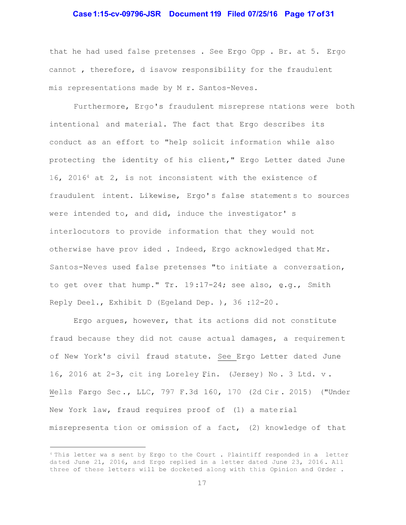### **Case 1:15-cv-09796-JSR Document 119 Filed 07/25/16 Page 17 of 31**

that he had used false pretenses . See Ergo Opp . Br. at 5. Ergo cannot , therefore, d isavow responsibility for the fraudulent mis representations made by M r. Santos-Neves.

Furthermore, Ergo's fraudulent misreprese ntations were both intentional and material. The fact that Ergo describes its conduct as an effort to "help solicit information while also protecting the identity of his client," Ergo Letter dated June 16, 20164 at 2, is not inconsistent with the existence of fraudulent intent. Likewise, Ergo' s false statement s to sources were intended to, and did, induce the investigator' s interlocutors to provide information that they would not otherwise have prov ided . Indeed, Ergo acknowledged that Mr. Santos-Neves used false pretenses "to initiate a conversation, to get over that hump." Tr. 19 :17-24; see also, e.g., Smith Reply Deel., Exhibit D (Egeland Dep. ), 36 :12-20 .

Ergo argues, however, that its actions did not constitute fraud because they did not cause actual damages, a requiremen t of New York's civil fraud statute. See Ergo Letter dated June 16, 2016 at 2-3, cit ing Loreley Fin. (Jersey ) No . 3 Ltd. v . Wells Fargo Sec., LLC, 797 F.3d 160, 170 (2d Cir. 2015) ("Under New York law, fraud requires proof of (1) a mate rial misrepresenta tion or omission of a fact, (2) knowledge of that

<sup>4</sup> This letter wa s sent by Ergo to the Court . Plaintiff responded in a letter da ted June 21, 2016, and Ergo replied in a letter dated June 23, 2016 . All three of these letters will be docketed along with this Opinion and Order .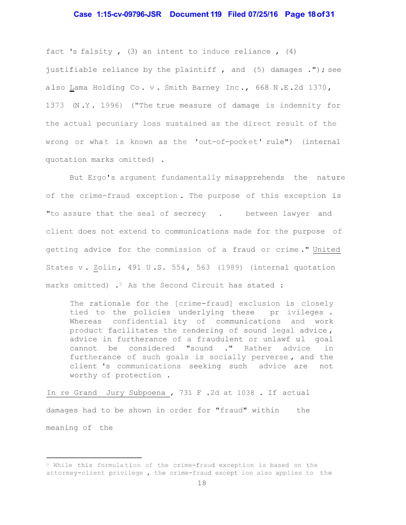# **Case 1:15-cv-09796-JSR Document 119 Filed 07/25/16 Page 18 of 31**

fact 's falsity , (3) an intent to induce reliance , (4) justifiable reliance by the plaintiff, and (5) damages ."); see also Lama Holding Co. v. Smith Barney Inc., 668 N.E.2d 1370, 1373 (N .Y . 1996) ("The true measure of damage is indemnity for the actual pecuniary loss sustained as the direct result of the wrong or what is known as the 'out-of-pocket' rule") (internal quotation marks omitted) .

But Ergo's argument fundamentally misapprehends the nature of the crime-fraud exception . The purpose of this exception is "to assure that the seal of secrecy . between lawyer and client does not extend to communications made for the purpose of getting advice for the commission of a fraud or crime ." United States v. Zolin, 491 U.S. 554, 563 (1989) (internal quotation marks omitted) .<sup>5</sup> As the Second Circuit has stated :

The rationale for the [crime-fraud] exclusion is closely tied to the policies underlying these pr ivileges . Whereas confidential ity of communications and work product facilitates the rendering of sound legal advice , advice in furtherance of a fraudulent or unlawf ul goal cannot be considered "sound ." Rather advice in furtherance of such goals is socially perverse , and the client 's communications seeking such advice are not worthy of protection .

In re Grand Jury Subpoena , 731 F .2d at 1038 . If actual damages had to be shown in order for "fraud" within the meaning of the

 $\degree$  While this formulation of the crime-fraud exception is based on the attorney-client privilege , the crime-fraud except ion also applies to the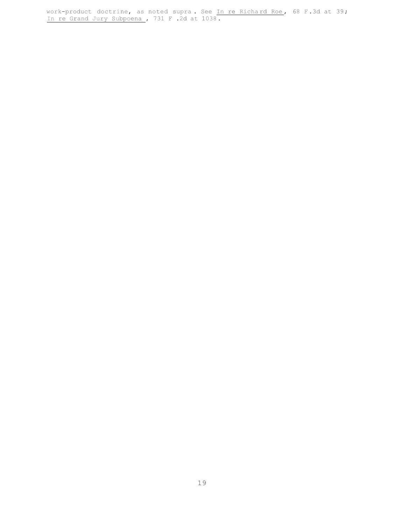work-product doctrine, as noted supra. See In re Richard Roe, 68 F.3d at 39; In re Grand Jury Subpoena , 731 F .2d at 1038 .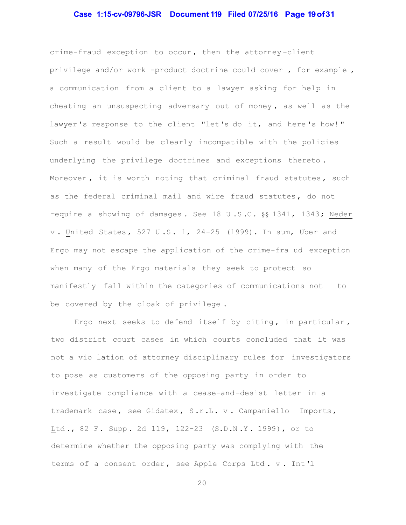#### **Case 1:15-cv-09796-JSR Document 119 Filed 07/25/16 Page 19 of 31**

crime-fraud exception to occur , then the attorney -client privilege and/or work -product doctrine could cover , for example , a communication from a client to a lawyer asking for help in cheating an unsuspecting adversary out of money , as well as the lawyer's response to the client "let's do it, and here's how!" Such a result would be clearly incompatible with the policies underlying the privilege doctrines and exceptions thereto . Moreover, it is worth noting that criminal fraud statutes, such as the federal criminal mail and wire fraud statutes, do not require a showing of damages. See 18 U.S.C. §§ 1341, 1343; Neder v . United States , 527 U .S . 1, 24-25 (1999). In sum, Uber and Ergo may not escape the application of the crime-fra ud exception when many of the Ergo materials they seek to protect so manifestly fall within the categories of communications not to be covered by the cloak of privilege .

Ergo next seeks to defend itself by citing, in particular, two district court cases in which courts concluded that it was not a vio lation of attorney disciplinary rules for investigators to pose as customers of the opposing party in order to investigate compliance with a cease-and -desist letter in a trademark case, see Gidatex, S.r.L. v. Campaniello Imports, Ltd., 82 F. Supp. 2d 119, 122-23 (S.D.N.Y. 1999), or to determine whether the opposing party was complying with the terms of a consent order, see Apple Corps Ltd. v. Int'l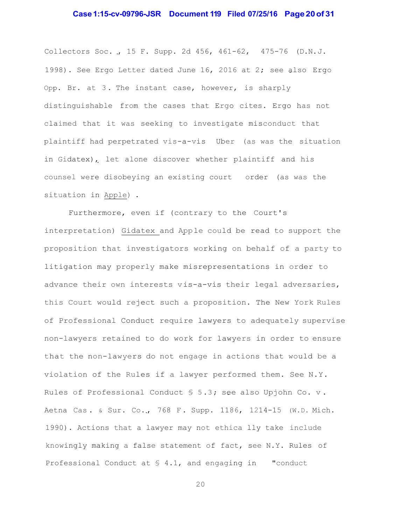### **Case 1:15-cv-09796-JSR Document 119 Filed 07/25/16 Page 20 of 31**

Collectors Soc. , 15 F. Supp. 2d 456, 461-62, 475-76 (D.N. J. 1998). See Ergo Letter dated June 16, 2016 at 2; see also Ergo Opp. Br. at 3. The instant case, however, is sharply distinguishable from the cases that Ergo cites. Ergo has not claimed that it was seeking to investigate misconduct that plaintiff had perpetrated vis-a-vis Uber (as was the situation in Gidatex), let alone discover whether plaintiff and his counsel were disobeying an existing court order (as was the situation in Apple) .

Furthermore, even if (contrary to the Court's interpretation) Gidatex and App le could be read to support the proposition that investigators working on behalf of a party to litigation may properly make misrepresentations in order to advance their own interests vis-a-vis their legal adversaries, this Court would reject such a proposition. The New York Rules of Professional Conduct require lawyers to adequately supervise non-lawyers retained to do work for lawyers in order to ensure that the non-lawyers do not engage in actions that would be a violation of the Rules if a lawyer performed them. See N.Y. Rules of Professional Conduct § 5 .3 ; see also Upjohn Co. v . Aetna Cas . & Sur. Co. , 768 F . Supp. 1186, 1214-15 (W.D. Mich. 1990). Actions that a lawyer may not ethica lly take include knowingly making a false statement of fact, see N.Y. Rules of Professional Conduct at § 4.1, and engaging in "conduct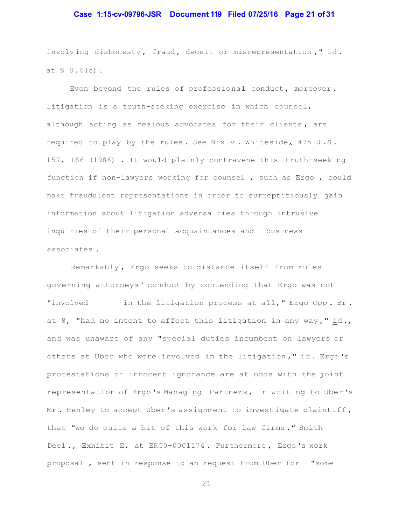#### **Case 1:15-cv-09796-JSR Document 119 Filed 07/25/16 Page 21 of 31**

involving dishonesty, fraud, deceit or misrepresentation," id. at  $\frac{1}{2}$  8.4(c).

Even beyond the rules of professional conduct, moreover, litigation is a truth-seeking exercise in which counsel, although acting as zealous advocates for their clients, are required to play by the rules . See Nix v . Whiteside, 475 U .S . 157, 166 (1986) . It would plainly contravene this truth-seeking function if non-lawyers working for counsel , such as Ergo , could make fraudulent representations in order to surreptitiously gain information about litigation adversa ries through intrusive inquiries of their personal acquaintances and business associates .

Remarkably , Ergo seeks to distance itself from rules governing attorneys ' conduct by contending that Ergo was not "involved in the litigation process at all," Ergo Opp. Br. at 8, "had no intent to affect this litigation in any way," id., and was unaware of any "special duties incumbent on lawyers or others at Uber who were involved in the litigation ," id . Ergo 's protestations of innocent ignorance are at odds with the joint representation of Ergo 's Managing Partners , in writing to Uber 's Mr. Henley to accept Uber's assignment to investigate plaintiff, that "we do quite a bit of this work for law firms ." Smith Deel ., Exhibit E, at ERG0-0001174 . Furthermore , Ergo 's work proposal , sent in response to an request from Uber for "some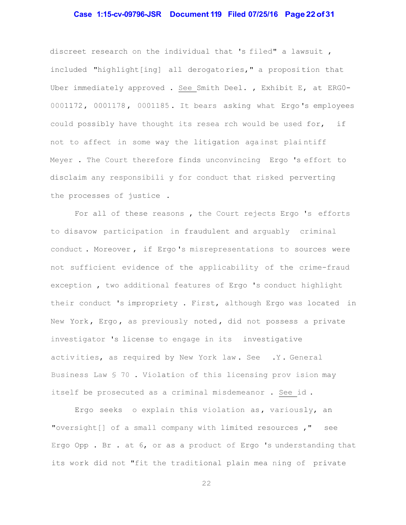# **Case 1:15-cv-09796-JSR Document 119 Filed 07/25/16 Page 22 of 31**

discreet research on the individual that 's filed" a lawsuit , included "highlight[ing] all derogatories," a proposition that Uber immediately approved . See Smith Deel. , Exhibit E, at ERG0- 0001172 , 0001178 , 0001185 . It bears asking what Ergo 's employees could possibly have thought its resea rch would be used for, if not to affect in some way the litigation against plaintiff Meyer . The Court therefore finds unconvincing Ergo 's effort to disclaim any responsibili y for conduct that risked perverting the processes of justice .

For all of these reasons , the Court rejects Ergo 's efforts to disavow participation in fraudulent and arguably criminal conduct . Moreover , if Ergo 's misrepresentations to sources were not sufficient evidence of the applicability of the crime-fraud exception , two additional features of Ergo 's conduct highlight their conduct 's impropriety . First, although Ergo was located in New York, Ergo, as previously noted, did not possess a private investigator 's license to engage in its investigative activities, as required by New York law. See .Y. General Business Law § 70 . Violation of this licensing prov ision may itself be prosecuted as a criminal misdemeanor . See id .

Ergo seeks o explain this violation as, variously, an "oversight $[$  of a small company with limited resources  $,$  " see Ergo Opp . Br . at 6, or as a product of Ergo 's understanding that its work did not "fit the traditional plain mea ning of private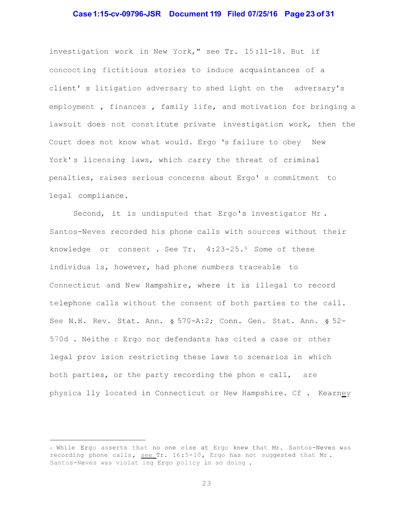# **Case 1:15-cv-09796-JSR Document 119 Filed 07/25/16 Page 23 of 31**

investigation work in New York," see Tr. 15 :11-18. But if concoct ing fictitious stories to induce acquaintances of a client' s litigation adversary to shed light on the adversary's employment , finances , family life, and motivation for bringing a lawsuit does not const itute private investigation work, then the Court does not know what would. Ergo 's failure to obey New York' s licensing laws, which carry the threat of criminal penalties, raises serious concerns about Ergo' s commitment to legal compliance.

Second, it is undisputed that Ergo's investigator Mr . Santos-Neves recorded his phone calls with sources without their knowledge or consent . See Tr. 4:23-25.6 Some of these individua ls, however, had phone numbers traceable to Connecticut and New Hampshire, where it is illegal to record telephone calls without the consent of both parties to the call. See N.H. Rev. Stat. Ann. § 570-A:2; Conn. Gen. Stat. Ann. § 52- 570d . Neithe r Ergo nor defendants has cited a case or other legal prov ision restricting these laws to scenarios in which both parties, or the party recording the phon e call, are physica lly located in Connecticut or New Hampshire. Cf . Kearney

<sup>6</sup> While Ergo asserts that no one else at Ergo knew that Mr. Santos-Neves was recording phone calls, see Tr. 16:5-10, Ergo has not suggested that Mr. Santos-Neves was violat ing Ergo policy in so doing .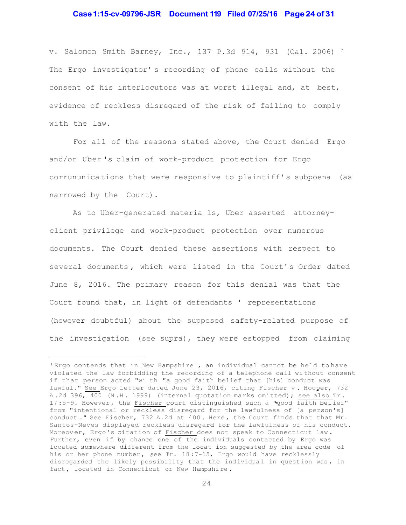# **Case 1:15-cv-09796-JSR Document 119 Filed 07/25/16 Page 24 of 31**

v. Salomon Smith Barney, Inc., 137 P.3d 914, 931 (Cal. 2006) <sup>7</sup> The Ergo investigator' s recording of phone ca lls without the consent of his interlocutors was at worst illegal and, at best, evidence of reckless disregard of the risk of failing to comply with the law.

For all of the reasons stated above, the Court denied Ergo and/or Uber 's claim of work-product prot ection for Ergo corrununica tions that were responsive to plaintiff' s subpoena (as narrowed by the Court).

As to Uber-generated materia ls, Uber asserted attorneyclient privilege and work-product protection over numerous documents. The Court denied these assertions with respect to several documents, which were listed in the Court's Order dated June 8, 2016. The primary reason for this denial was that the Court found that, in light of defendants ' representations (however doubtful) about the supposed safety-related purpose of the investigation (see supra), they were estopped from claiming

I Ergo contends that in New Hampshire , an individual cannot be held to have violated the law forbidding the recording of a telephone call wi thout consent if that person acted "wi th "a good faith belief that [his] conduct was lawful." See Ergo Letter dated June 23, 2016, citing Fischer v. Hooper, 732 A.2d 396, 400 (N.H. 1999) (internal quotation marks omitted); see also Tr. 17:5-9. However, the Fischer court distinguished such a 'good faith belief" from "intentional or reckless disregard for the lawfulness of [a person's] conduct ." See Fischer, 732 A.2d at 400. Here, the Court finds that that Mr. Santos-Neves displayed reckless disregard for the lawfulness of his conduct. Moreover, Ergo's citation of Fischer does not speak to Connecticut law. Further, even if by chance one of the individuals contacted by Ergo was located somewhere different from the locat ion suggested by the area code of his or her phone number, see Tr. 18:7-15, Ergo would have recklessly disregarded the likely possibility that the individual in question was, in fact , located in Connecticut or New Hampshi re .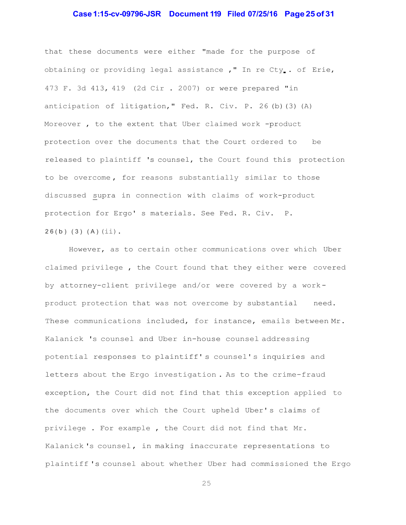### **Case 1:15-cv-09796-JSR Document 119 Filed 07/25/16 Page 25 of 31**

that these documents were either "made for the purpose of obtaining or providing legal assistance ," In re Cty . of Erie, 473 F. 3d 413, 419 (2d Cir . 2007) or were prepared "in anticipation of litigation," Fed. R. Civ. P. 26 (b)(3) (A) Moreover , to the extent that Uber claimed work -product protection over the documents that the Court ordered to be released to plaintiff 's counsel, the Court found this protection to be overcome , for reasons substantially similar to those discussed supra in connection with claims of work-product protection for Ergo' s materials. See Fed. R. Civ. P.  $26(b)$   $(3)$   $(A)$   $(ii)$ .

However, as to certain other communications over which Uber claimed privilege , the Court found that they either were covered by attorney-client privilege and/or were covered by a work product protection that was not overcome by substantial need. These communications included, for instance, emails between Mr. Kalanick 's counsel and Uber in-house counsel addressing potential responses to plaintiff' s counsel' s inquiries and letters about the Ergo investigation . As to the crime-fraud exception, the Court did not find that this exception applied to the documents over which the Court upheld Uber' s claims of privilege . For example , the Court did not find that Mr. Kalanick 's counsel , in making inaccurate representations to plaintiff 's counsel about whether Uber had commissioned the Ergo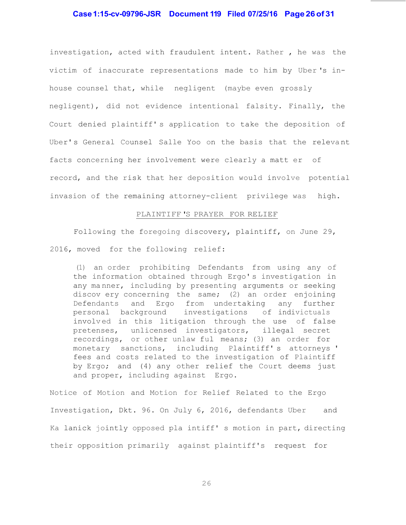# **Case 1:15-cv-09796-JSR Document 119 Filed 07/25/16 Page 26 of 31**

investigation, acted with fraudulent intent. Rather , he was the victim of inaccurate representations made to him by Uber 's inhouse counsel that, while negligent (maybe even grossly negligent), did not evidence intentional falsity. Finally, the Court denied plaintiff' s application to take the deposition of Uber' s General Counsel Salle Yoo on the basis that the releva nt facts concerning her involvement were clearly a matt er of record, and the risk that her deposition would involve potential invasion of the remaining attorney-client privilege was high.

#### PLAINTIFF 'S PRAYER FOR RELIEF

Following the foregoing discovery, plaintiff, on June 29, 2016, moved for the following relief:

(1) an order prohibiting Defendants from using any of the information obtained through Ergo' s investigation in any ma nner, including by presenting arguments or seeking discov ery concerning the same; (2) an order enjoining Defendants and Ergo from undertaking any further personal background investigations of indivictuals involv ed in this litigation through the use of false pretenses, unlicensed investigators, illegal secret recordings, or other unlaw ful means; (3) an order for monetary sanctions, including Plaintiff' s attorneys ' fees and costs related to the investigation of Plaintiff by Ergo; and (4) any other relief the Court deems just and proper, including against Ergo.

Notice of Motion and Motion for Relief Related to the Ergo Investigation, Dkt. 96. On July 6, 2016, defendants Uber and Ka lanick jointly opposed pla intiff' s motion in part, directing their opposition primarily against plaintiff's request for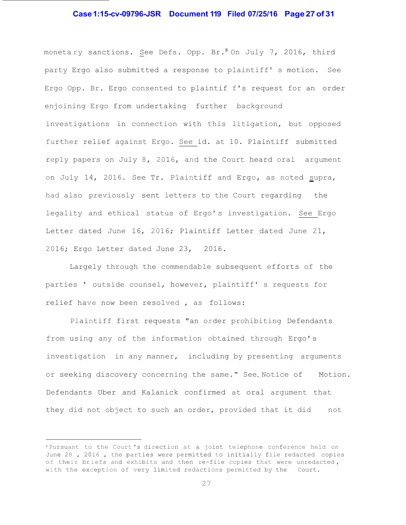# **Case 1:15-cv-09796-JSR Document 119 Filed 07/25/16 Page 27 of 31**

monetary sanctions. See Defs. Opp. Br.  $8$  On July 7, 2016, third party Ergo also submitted a response to plaintiff' s motion. See Ergo Opp. Br. Ergo consented to plaintif f's request for an order enjoining Ergo from undertaking further background investigations in connection with this litigation, but opposed further relief against Ergo. See id. at 10. Plaintiff submitted reply papers on July 8, 2016, and the Court heard oral argument on July 14, 2016. See Tr. Plaintiff and Ergo, as noted supra, had also previously sent letters to the Court regarding the legality and ethical status of Ergo' s investigation. See Ergo Letter dated June 16, 2016; Plaintiff Letter dated June 21, 2016; Ergo Letter dated June 23, 2016.

Largely through the commendable subsequent efforts of the parties ' outside counsel, however, plaintiff' s requests for relief have now been resolved , as follows:

Plaintiff first requests "an order prohibiting Defendants from using any of the information obtained through Ergo' s investigation in any manner, including by presenting arguments or seeking discovery concerning the same." See Notice of Motion. Defendants Uber and Kalanick confirmed at oral argument that they did not object to such an order, provided that it did not

<sup>8</sup>Pursuant to the Court 's direction at a joint telephone conference held on June 28 , 2016 , the parties were permitted to initially file redacted copies of their briefs and exhibits and then re-file copies that were unredacted, with the exception of very limited redactions permitted by the Court.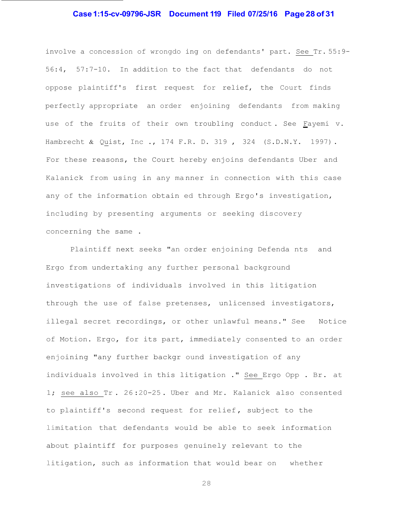# **Case 1:15-cv-09796-JSR Document 119 Filed 07/25/16 Page 28 of 31**

involve a concession of wrongdo ing on defendants' part. See Tr. 55:9- 56:4, 57:7-10. In addition to the fact that defendants do not oppose plaintiff's first request for relief, the Court finds perfectly appropriate an order enjoining defendants from making use of the fruits of their own troubling conduct . See Fayemi v. Hambrecht & Quist, Inc ., 174 F.R. D. 319, 324 (S.D.N.Y. 1997). For these reasons, the Court hereby enjoins defendants Uber and Kalanick from using in any ma nner in connection with this case any of the information obtain ed through Ergo's investigation, including by presenting arguments or seeking discovery concerning the same .

Plaintiff next seeks "an order enjoining Defenda nts and Ergo from undertaking any further personal background investigations of individuals involved in this litigation through the use of false pretenses, unlicensed investigators, illegal secret recordings, or other unlawful means." See Notice of Motion. Ergo, for its part, immediately consented to an order enjoining "any further backgr ound investigation of any individuals involved in this litigation ." See Ergo Opp . Br. at 1; see also Tr . 26 :20-25 . Uber and Mr. Kalanick also consented to plaintiff's second request for relief , subject to the limitation that defendants would be able to seek information about plaintiff for purposes genuinely relevant to the litigation, such as information that would bear on whether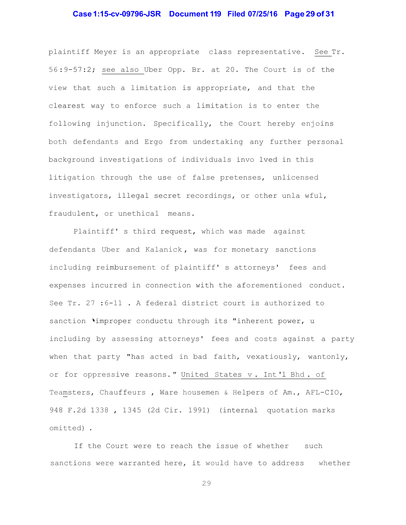# **Case 1:15-cv-09796-JSR Document 119 Filed 07/25/16 Page 29 of 31**

plaintiff Meyer is an appropriate class representative. See Tr. 56 :9-57:2; see also Uber Opp. Br. at 20. The Court is of the view that such a limitation is appropriate, and that the clearest way to enforce such a limitation is to enter the following injunction. Specifically, the Court hereby enjoins both defendants and Ergo from undertaking any further personal background investigations of individuals invo lved in this litigation through the use of false pretenses, unlicensed investigators, illegal secret recordings, or other unla wful, fraudulent, or unethical means.

Plaintiff' s third request, which was made against defendants Uber and Kalanick , was for monetary sanctions including reimbursement of plaintiff' s attorneys' fees and expenses incurred in connection with the aforementioned conduct. See Tr. 27 :6-11 . A federal district court is authorized to sanction 'improper conductu through its "inherent power, u including by assessing attorneys' fees and costs against a party when that party "has acted in bad faith, vexatiously, wantonly, or for oppressive reasons. " United States v . Int 'l Bhd . of Teamsters, Chauffeurs , Ware housemen & Helpers of Am., AFL-CIO, 948 F.2d 1338 , 1345 (2d Cir. 1991) (internal quotation marks omitted) .

If the Court were to reach the issue of whether such sanctions were warranted here, it would have to address whether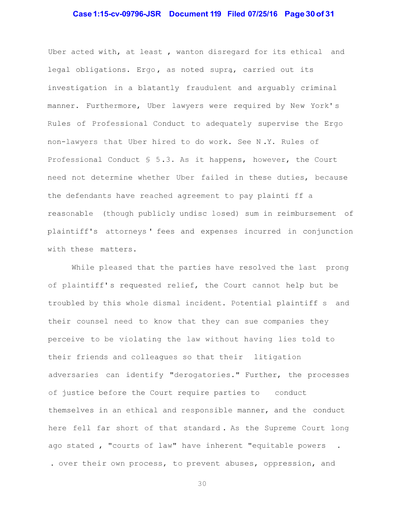# **Case 1:15-cv-09796-JSR Document 119 Filed 07/25/16 Page 30 of 31**

Uber acted with, at least , wanton disregard for its ethical and legal obligations. Ergo, as noted supra, carried out its investigation in a blatantly fraudulent and arguably criminal manner. Furthermore, Uber lawyers were required by New York' s Rules of Professional Conduct to adequately supervise the Ergo non-lawyers that Uber hired to do work. See N .Y. Rules of Professional Conduct § 5 .3. As it happens, however, the Court need not determine whether Uber failed in these duties, because the defendants have reached agreement to pay plainti ff a reasonable (though publicly undisc losed) sum in reimbursement of plaintiff's attorneys ' fees and expenses incurred in conjunction with these matters.

While pleased that the parties have resolved the last prong of plaintiff' s requested relief, the Court cannot help but be troubled by this whole dismal incident. Potential plaintiff s and their counsel need to know that they can sue companies they perceive to be violating the law without having lies told to their friends and colleagues so that their litigation adversaries can identify "derogatories." Further, the processes of justice before the Court require parties to conduct themselves in an ethical and responsible manner, and the conduct here fell far short of that standard . As the Supreme Court long ago stated , "courts of law" have inherent "equitable powers . . over their own process, to prevent abuses, oppression, and